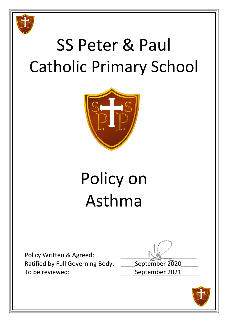

# SS Peter & Paul Catholic Primary School



# Policy on Asthma

Policy Written & Agreed: Ratified by Full Governing Body: \_\_\_\_\_ September 2020 To be reviewed: To be reviewed:

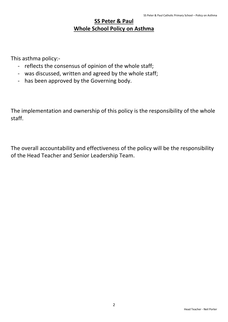## **SS Peter & Paul Whole School Policy on Asthma**

This asthma policy:-

- reflects the consensus of opinion of the whole staff;
- was discussed, written and agreed by the whole staff;
- has been approved by the Governing body.

The implementation and ownership of this policy is the responsibility of the whole staff.

The overall accountability and effectiveness of the policy will be the responsibility of the Head Teacher and Senior Leadership Team.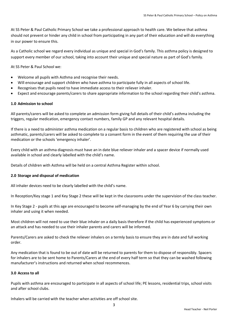At SS Peter & Paul Catholic Primary School we take a professional approach to health care. We believe that asthma should not prevent or hinder any child in school from participating in any part of their education and will do everything in our power to ensure this.

As a Catholic school we regard every individual as unique and special in God's family. This asthma policy is designed to support every member of our school, taking into account their unique and special nature as part of God's family.

At SS Peter & Paul School we:

- Welcome all pupils with Asthma and recognise their needs.
- Will encourage and support children who have asthma to participate fully in all aspects of school life.
- Recognises that pupils need to have immediate access to their reliever inhaler.
- Expect and encourage parents/carers to share appropriate information to the school regarding their child's asthma.

#### **1.0 Admission to school**

All parents/carers will be asked to complete an admission form giving full details of their child's asthma including the triggers, regular medication, emergency contact numbers, family GP and any relevant hospital details.

If there is a need to administer asthma medication on a regular basis to children who are registered with school as being asthmatic, parents/carers will be asked to complete to a consent form in the event of them requiring the use of their medication or the schools 'emergency inhaler'.

Every child with an asthma diagnosis must have an in date blue reliever inhaler and a spacer device if normally used available in school and clearly labelled with the child's name.

Details of children with Asthma will be held on a central Asthma Register within school.

#### **2.0 Storage and disposal of medication**

All inhaler devices need to be clearly labelled with the child's name.

In Reception/Key stage 1 and Key Stage 2 these will be kept in the classrooms under the supervision of the class teacher.

In Key Stage 2 - pupils at this age are encouraged to become self-managing by the end of Year 6 by carrying their own inhaler and using it when needed.

Most children will not need to use their blue inhaler on a daily basis therefore if the child has experienced symptoms or an attack and has needed to use their inhaler parents and carers will be informed.

Parents/Carers are asked to check the reliever inhalers on a termly basis to ensure they are in date and full working order.

Any medication that is found to be out of date will be returned to parents for them to dispose of responsibly. Spacers for inhalers are to be sent home to Parents/Carers at the end of every half term so that they can be washed following manufacturer's instructions and returned when school recommences.

#### **3.0 Access to all**

Pupils with asthma are encouraged to participate in all aspects of school life; PE lessons, residential trips, school visits and after school clubs.

3

Inhalers will be carried with the teacher when activities are off school site.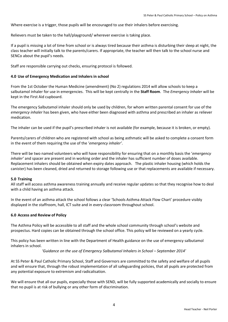Where exercise is a trigger, those pupils will be encouraged to use their inhalers before exercising.

Relievers must be taken to the hall/playground/ wherever exercise is taking place.

If a pupil is missing a lot of time from school or is always tired because their asthma is disturbing their sleep at night, the class teacher will initially talk to the parents/carers. If appropriate, the teacher will then talk to the school nurse and SENCo about the pupil's needs.

Staff are responsible carrying out checks, ensuring protocol is followed.

#### **4.0 Use of Emergency Medication and Inhalers in school**

From the 1st October the Human Medicine (amendment) (No 2) regulations 2014 will allow schools to keep a salbutamol inhaler for use in emergencies. This will be kept centrally in the **Staff Room**. The *Emergency Inhaler* will be kept in the First Aid cupboard.

The emergency Salbutamol inhaler should only be used by children, for whom written parental consent for use of the *emergency inhaler* has been given, who have either been diagnosed with asthma and prescribed an inhaler as reliever medication.

The inhaler can be used if the pupil's prescribed inhaler is not available (for example, because it is broken, or empty).

Parents/carers of children who are registered with school as being asthmatic will be asked to complete a consent form in the event of them requiring the use of the '*emergency inhaler'*.

There will be two named volunteers who will have responsibility for ensuring that on a monthly basis the '*emergency inhaler'* and spacer are present and in working order and the inhaler has sufficient number of doses available. Replacement inhalers should be obtained when expiry dates approach. The plastic inhaler housing (which holds the canister) has been cleaned, dried and returned to storage following use or that replacements are available if necessary.

#### **5.0 Training**

All staff will access asthma awareness training annually and receive regular updates so that they recognise how to deal with a child having an asthma attack.

In the event of an asthma attack the school follows a clear 'Schools Asthma Attack Flow Chart' procedure visibly displayed in the staffroom, hall, ICT suite and in every classroom throughout school.

#### **6.0 Access and Review of Policy**

The Asthma Policy will be accessible to all staff and the whole school community through school's website and prospectus. Hard copies can be obtained through the school office. This policy will be reviewed on a yearly cycle.

This policy has been written in line with the Department of Health guidance on the use of emergency salbutamol inhalers in school.

#### *'Guidance on the use of Emergency Salbutamol Inhalers in School – September 2014'*

At SS Peter & Paul Catholic Primary School, Staff and Governors are committed to the safety and welfare of all pupils and will ensure that, through the robust implementation of all safeguarding policies, that all pupils are protected from any potential exposure to extremism and radicalisation.

We will ensure that all our pupils, especially those with SEND, will be fully supported academically and socially to ensure that no pupil is at risk of bullying or any other form of discrimination.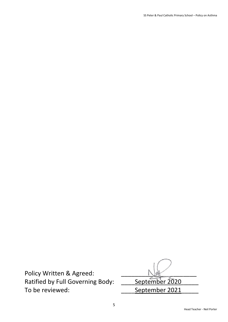SS Peter & Paul Catholic Primary School – Policy on Asthma

Policy Written & Agreed: <br>Ratified by Full Governing Body: September 2020 Ratified by Full Governing Body: To be reviewed: \_\_\_\_September 2021\_\_\_\_\_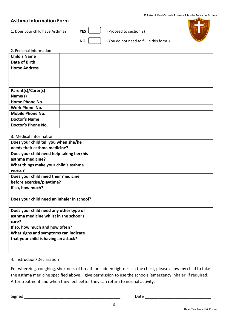## **Asthma Information Form**

1. Does your child have Asthma? **YES** (Proceed to section 2)



**NO** (You do not need to fill in this form!)

| 2. Personal Information |  |
|-------------------------|--|
| <b>Child's Name</b>     |  |
| Date of Birth           |  |
| <b>Home Address</b>     |  |
|                         |  |
|                         |  |
|                         |  |
| Parent(s)/Carer(s)      |  |
| Name(s)                 |  |
| Home Phone No.          |  |
| <b>Work Phone No.</b>   |  |
| <b>Mobile Phone No.</b> |  |
| <b>Doctor's Name</b>    |  |
| Doctor's Phone No.      |  |

#### 3. Medical Information

| Does your child tell you when she/he       |  |
|--------------------------------------------|--|
| needs their asthma medicine?               |  |
| Does your child need help taking her/his   |  |
| asthma medicine?                           |  |
| What things make your child's asthma       |  |
| worse?                                     |  |
| Does your child need their medicine        |  |
| before exercise/playtime?                  |  |
| If so, how much?                           |  |
|                                            |  |
| Does your child need an inhaler in school? |  |
|                                            |  |
| Does your child need any other type of     |  |
| asthma medicine whilst in the school's     |  |
| care?                                      |  |
| If so, how much and how often?             |  |
| What signs and symptoms can indicate       |  |
| that your child is having an attack?       |  |
|                                            |  |
|                                            |  |

### 4. Instruction/Declaration

For wheezing, coughing, shortness of breath or sudden tightness in the chest, please allow my child to take the asthma medicine specified above. I give permission to use the schools 'emergency inhaler' if required. After treatment and when they feel better they can return to normal activity.

Signed \_\_\_\_\_\_\_\_\_\_\_\_\_\_\_\_\_\_\_\_\_\_\_\_\_\_\_\_\_\_\_\_\_\_\_\_\_\_\_\_\_\_ Date \_\_\_\_\_\_\_\_\_\_\_\_\_\_\_\_\_\_\_\_\_\_\_\_\_\_\_\_\_